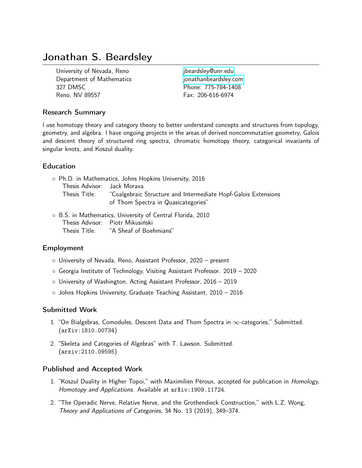# Jonathan S. Beardsley

University of Nevada, Reno [jbeardsley@unr.edu](mailto:jbeardsley@unr.edu) Department of Mathematics in the intervalsionathanbeardsley.com 327 DMSC Phone: 775-784-1408 Reno, NV 89557 Fax: 206-616-6974

## Research Summary

I use homotopy theory and category theory to better understand concepts and structures from topology, geometry, and algebra. I have ongoing projects in the areas of derived noncommutative geometry, Galois and descent theory of structured ring spectra, chromatic homotopy theory, categorical invariants of singular knots, and Koszul duality.

## Education

| $\circ$ Ph.D. in Mathematics, Johns Hopkins University, 2016 |                                                                |
|--------------------------------------------------------------|----------------------------------------------------------------|
| Thesis Advisor: Jack Morava                                  |                                                                |
| Thesis Title:                                                | "Coalgebraic Structure and Intermediate Hopf-Galois Extensions |
|                                                              | of Thom Spectra in Quasicategories"                            |
|                                                              |                                                                |

◦ B.S. in Mathematics, University of Central Florida, 2010 Thesis Advisor: Piotr Mikusiński Thesis Title: "A Sheaf of Boehmians"

## Employment

- University of Nevada, Reno, Assistant Professor, 2020 present
- Georgia Institute of Technology, Visiting Assistant Professor. 2019 2020
- University of Washington, Acting Assistant Professor, 2016 2019
- Johns Hopkins University, Graduate Teaching Assistant, 2010 2016

## Submitted Work

- 1. "On Bialgebras, Comodules, Descent Data and Thom Spectra in  $\infty$ -categories," Submitted. (arXiv:1810.00734)
- 2. "Skeleta and Categories of Algebras" with T. Lawson. Submitted. (arxiv:2110.09595)

## Published and Accepted Work

- 1. "Koszul Duality in Higher Topoi," with Maximilien Péroux, accepted for publication in Homology, Homotopy and Applications. Available at arXiv:1909.11724.
- 2. "The Operadic Nerve, Relative Nerve, and the Grothendieck Construction," with L.Z. Wong, Theory and Applications of Categories, 34 No. 13 (2019), 349–374.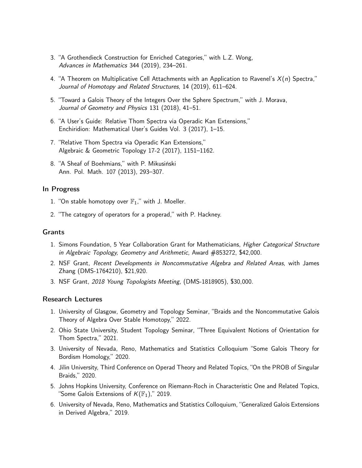- 3. "A Grothendieck Construction for Enriched Categories," with L.Z. Wong, Advances in Mathematics 344 (2019), 234–261.
- 4. "A Theorem on Multiplicative Cell Attachments with an Application to Ravenel's  $X(n)$  Spectra," Journal of Homotopy and Related Structures, 14 (2019), 611–624.
- 5. "Toward a Galois Theory of the Integers Over the Sphere Spectrum," with J. Morava, Journal of Geometry and Physics 131 (2018), 41–51.
- 6. "A User's Guide: Relative Thom Spectra via Operadic Kan Extensions," Enchiridion: Mathematical User's Guides Vol. 3 (2017), 1–15.
- 7. "Relative Thom Spectra via Operadic Kan Extensions," Algebraic & Geometric Topology 17-2 (2017), 1151–1162.
- 8. "A Sheaf of Boehmians," with P. Mikusiński Ann. Pol. Math. 107 (2013), 293–307.

## In Progress

- 1. "On stable homotopy over  $\mathbb{F}_1$ ," with J. Moeller.
- 2. "The category of operators for a properad," with P. Hackney.

## Grants

- 1. Simons Foundation, 5 Year Collaboration Grant for Mathematicians, Higher Categorical Structure in Algebraic Topology, Geometry and Arithmetic, Award #853272, \$42,000.
- 2. NSF Grant, Recent Developments in Noncommutative Algebra and Related Areas, with James Zhang (DMS-1764210), \$21,920.
- 3. NSF Grant, 2018 Young Topologists Meeting, (DMS-1818905), \$30,000.

#### Research Lectures

- 1. University of Glasgow, Geometry and Topology Seminar, "Braids and the Noncommutative Galois Theory of Algebra Over Stable Homotopy," 2022.
- 2. Ohio State University, Student Topology Seminar, "Three Equivalent Notions of Orientation for Thom Spectra," 2021.
- 3. University of Nevada, Reno, Mathematics and Statistics Colloquium "Some Galois Theory for Bordism Homology," 2020.
- 4. Jilin University, Third Conference on Operad Theory and Related Topics, "On the PROB of Singular Braids," 2020.
- 5. Johns Hopkins University, Conference on Riemann-Roch in Characteristic One and Related Topics, "Some Galois Extensions of  $K(\mathbb{F}_1)$ ," 2019.
- 6. University of Nevada, Reno, Mathematics and Statistics Colloquium, "Generalized Galois Extensions in Derived Algebra," 2019.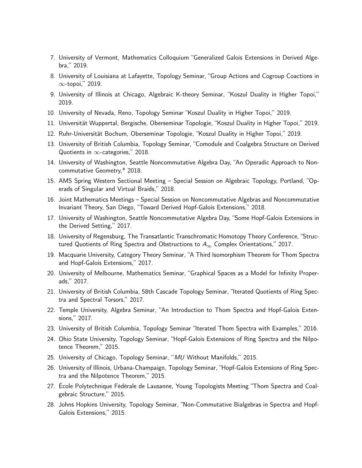- 7. University of Vermont, Mathematics Colloquium "Generalized Galois Extensions in Derived Algebra," 2019.
- 8. University of Louisiana at Lafayette, Topology Seminar, "Group Actions and Cogroup Coactions in ∞-topoi," 2019.
- 9. University of Illinois at Chicago, Algebraic K-theory Seminar, "Koszul Duality in Higher Topoi," 2019.
- 10. University of Nevada, Reno, Topology Seminar "Koszul Duality in Higher Topoi," 2019.
- 11. Universität Wuppertal, Bergische, Oberseminar Topologie, "Koszul Duality in Higher Topoi," 2019.
- 12. Ruhr-Universität Bochum, Oberseminar Topologie, "Koszul Duality in Higher Topoi," 2019.
- 13. University of British Columbia, Topology Seminar, "Comodule and Coalgebra Structure on Derived Quotients in  $\infty$ -categories," 2018.
- 14. University of Washington, Seattle Noncommutative Algebra Day, "An Operadic Approach to Noncommutative Geometry," 2018.
- 15. AMS Spring Western Sectional Meeting Special Session on Algebraic Topology, Portland, "Operads of Singular and Virtual Braids," 2018.
- 16. Joint Mathematics Meetings Special Session on Noncommutative Algebras and Noncommutative Invariant Theory, San Diego, "Toward Derived Hopf-Galois Extensions," 2018.
- 17. University of Washington, Seattle Noncommutative Algebra Day, "Some Hopf-Galois Extensions in the Derived Setting," 2017.
- 18. University of Regensburg, The Transatlantic Transchromatic Homotopy Theory Conference, "Structured Quotients of Ring Spectra and Obstructions to  $A_{\infty}$  Complex Orientations," 2017.
- 19. Macquarie University, Category Theory Seminar, "A Third Isomorphism Theorem for Thom Spectra and Hopf-Galois Extensions," 2017.
- 20. University of Melbourne, Mathematics Seminar, "Graphical Spaces as a Model for Infinity Properads," 2017.
- 21. University of British Columbia, 58th Cascade Topology Seminar, "Iterated Quotients of Ring Spectra and Spectral Torsors," 2017.
- 22. Temple University, Algebra Seminar, "An Introduction to Thom Spectra and Hopf-Galois Extensions," 2017.
- 23. University of British Columbia, Topology Seminar "Iterated Thom Spectra with Examples," 2016.
- 24. Ohio State University, Topology Seminar, "Hopf-Galois Extensions of Ring Spectra and the Nilpotence Theorem," 2015.
- 25. University of Chicago, Topology Seminar, "MU Without Manifolds," 2015.
- 26. University of Illinois, Urbana-Champaign, Topology Seminar, "Hopf-Galois Extensions of Ring Spectra and the Nilpotence Theorem," 2015.
- 27. École Polytechnique Fédérale de Lausanne, Young Topologists Meeting "Thom Spectra and Coalgebraic Structure," 2015.
- 28. Johns Hopkins University, Topology Seminar, "Non-Commutative Bialgebras in Spectra and Hopf-Galois Extensions," 2015.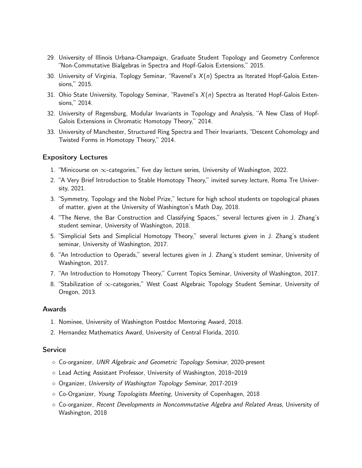- 29. University of Illinois Urbana-Champaign, Graduate Student Topology and Geometry Conference "Non-Commutative Bialgebras in Spectra and Hopf-Galois Extensions," 2015.
- 30. University of Virginia, Toplogy Seminar, "Ravenel's  $X(n)$  Spectra as Iterated Hopf-Galois Extensions," 2015.
- 31. Ohio State University, Topology Seminar, "Ravenel's  $X(n)$  Spectra as Iterated Hopf-Galois Extensions," 2014.
- 32. University of Regensburg, Modular Invariants in Topology and Analysis, "A New Class of Hopf-Galois Extensions in Chromatic Homotopy Theory," 2014.
- 33. University of Manchester, Structured Ring Spectra and Their Invariants, "Descent Cohomology and Twisted Forms in Homotopy Theory," 2014.

## Expository Lectures

- 1. "Minicourse on  $\infty$ -categories," five day lecture series, University of Washington, 2022.
- 2. "A Very Brief Introduction to Stable Homotopy Theory," invited survey lecture, Roma Tre University, 2021.
- 3. "Symmetry, Topology and the Nobel Prize," lecture for high school students on topological phases of matter, given at the University of Washington's Math Day, 2018.
- 4. "The Nerve, the Bar Construction and Classifying Spaces," several lectures given in J. Zhang's student seminar, University of Washington, 2018.
- 5. "Simplicial Sets and Simplicial Homotopy Theory," several lectures given in J. Zhang's student seminar, University of Washington, 2017.
- 6. "An Introduction to Operads," several lectures given in J. Zhang's student seminar, University of Washington, 2017.
- 7. "An Introduction to Homotopy Theory," Current Topics Seminar, University of Washington, 2017.
- 8. "Stabilization of ∞-categories," West Coast Algebraic Topology Student Seminar, University of Oregon, 2013.

## Awards

- 1. Nominee, University of Washington Postdoc Mentoring Award, 2018.
- 2. Hernandez Mathematics Award, University of Central Florida, 2010.

#### Service

- Co-organizer, UNR Algebraic and Geometric Topology Seminar, 2020-present
- Lead Acting Assistant Professor, University of Washington, 2018–2019
- Organizer, University of Washington Topology Seminar, 2017-2019
- Co-Organizer, Young Topologists Meeting, University of Copenhagen, 2018
- Co-organizer, Recent Developments in Noncommutative Algebra and Related Areas, University of Washington, 2018